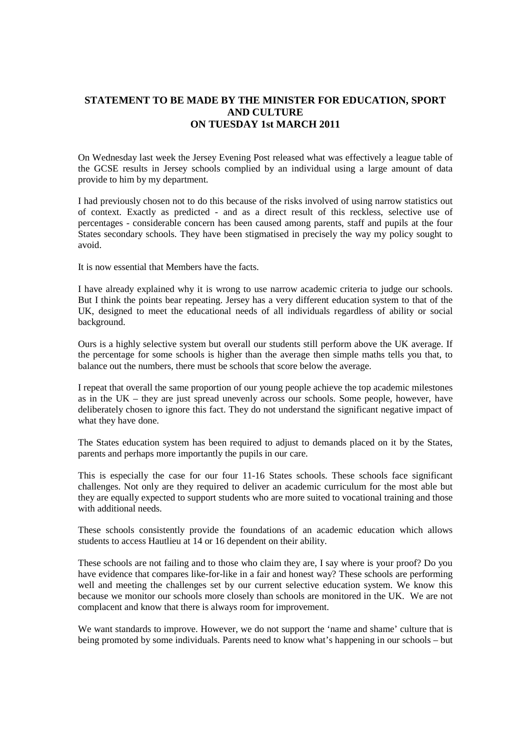# **STATEMENT TO BE MADE BY THE MINISTER FOR EDUCATION, SPORT AND CULTURE ON TUESDAY 1st MARCH 2011**

On Wednesday last week the Jersey Evening Post released what was effectively a league table of the GCSE results in Jersey schools complied by an individual using a large amount of data provide to him by my department.

I had previously chosen not to do this because of the risks involved of using narrow statistics out of context. Exactly as predicted - and as a direct result of this reckless, selective use of percentages - considerable concern has been caused among parents, staff and pupils at the four States secondary schools. They have been stigmatised in precisely the way my policy sought to avoid.

It is now essential that Members have the facts.

I have already explained why it is wrong to use narrow academic criteria to judge our schools. But I think the points bear repeating. Jersey has a very different education system to that of the UK, designed to meet the educational needs of all individuals regardless of ability or social background.

Ours is a highly selective system but overall our students still perform above the UK average. If the percentage for some schools is higher than the average then simple maths tells you that, to balance out the numbers, there must be schools that score below the average.

I repeat that overall the same proportion of our young people achieve the top academic milestones as in the UK – they are just spread unevenly across our schools. Some people, however, have deliberately chosen to ignore this fact. They do not understand the significant negative impact of what they have done.

The States education system has been required to adjust to demands placed on it by the States, parents and perhaps more importantly the pupils in our care.

This is especially the case for our four 11-16 States schools. These schools face significant challenges. Not only are they required to deliver an academic curriculum for the most able but they are equally expected to support students who are more suited to vocational training and those with additional needs.

These schools consistently provide the foundations of an academic education which allows students to access Hautlieu at 14 or 16 dependent on their ability.

These schools are not failing and to those who claim they are, I say where is your proof? Do you have evidence that compares like-for-like in a fair and honest way? These schools are performing well and meeting the challenges set by our current selective education system. We know this because we monitor our schools more closely than schools are monitored in the UK. We are not complacent and know that there is always room for improvement.

We want standards to improve. However, we do not support the 'name and shame' culture that is being promoted by some individuals. Parents need to know what's happening in our schools – but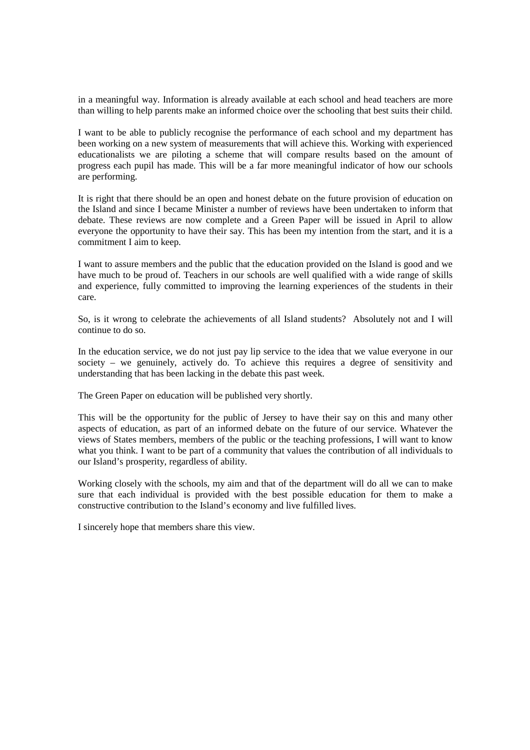in a meaningful way. Information is already available at each school and head teachers are more than willing to help parents make an informed choice over the schooling that best suits their child.

I want to be able to publicly recognise the performance of each school and my department has been working on a new system of measurements that will achieve this. Working with experienced educationalists we are piloting a scheme that will compare results based on the amount of progress each pupil has made. This will be a far more meaningful indicator of how our schools are performing.

It is right that there should be an open and honest debate on the future provision of education on the Island and since I became Minister a number of reviews have been undertaken to inform that debate. These reviews are now complete and a Green Paper will be issued in April to allow everyone the opportunity to have their say. This has been my intention from the start, and it is a commitment I aim to keep.

I want to assure members and the public that the education provided on the Island is good and we have much to be proud of. Teachers in our schools are well qualified with a wide range of skills and experience, fully committed to improving the learning experiences of the students in their care.

So, is it wrong to celebrate the achievements of all Island students? Absolutely not and I will continue to do so.

In the education service, we do not just pay lip service to the idea that we value everyone in our society – we genuinely, actively do. To achieve this requires a degree of sensitivity and understanding that has been lacking in the debate this past week.

The Green Paper on education will be published very shortly.

This will be the opportunity for the public of Jersey to have their say on this and many other aspects of education, as part of an informed debate on the future of our service. Whatever the views of States members, members of the public or the teaching professions, I will want to know what you think. I want to be part of a community that values the contribution of all individuals to our Island's prosperity, regardless of ability.

Working closely with the schools, my aim and that of the department will do all we can to make sure that each individual is provided with the best possible education for them to make a constructive contribution to the Island's economy and live fulfilled lives.

I sincerely hope that members share this view.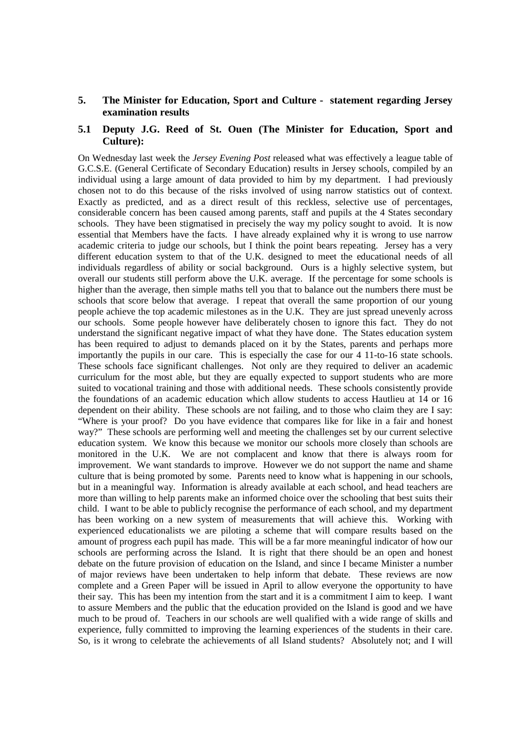### **5. The Minister for Education, Sport and Culture - statement regarding Jersey examination results**

# **5.1 Deputy J.G. Reed of St. Ouen (The Minister for Education, Sport and Culture):**

On Wednesday last week the *Jersey Evening Post* released what was effectively a league table of G.C.S.E. (General Certificate of Secondary Education) results in Jersey schools, compiled by an individual using a large amount of data provided to him by my department. I had previously chosen not to do this because of the risks involved of using narrow statistics out of context. Exactly as predicted, and as a direct result of this reckless, selective use of percentages, considerable concern has been caused among parents, staff and pupils at the 4 States secondary schools. They have been stigmatised in precisely the way my policy sought to avoid. It is now essential that Members have the facts. I have already explained why it is wrong to use narrow academic criteria to judge our schools, but I think the point bears repeating. Jersey has a very different education system to that of the U.K. designed to meet the educational needs of all individuals regardless of ability or social background. Ours is a highly selective system, but overall our students still perform above the U.K. average. If the percentage for some schools is higher than the average, then simple maths tell you that to balance out the numbers there must be schools that score below that average. I repeat that overall the same proportion of our young people achieve the top academic milestones as in the U.K. They are just spread unevenly across our schools. Some people however have deliberately chosen to ignore this fact. They do not understand the significant negative impact of what they have done. The States education system has been required to adjust to demands placed on it by the States, parents and perhaps more importantly the pupils in our care. This is especially the case for our 4 11-to-16 state schools. These schools face significant challenges. Not only are they required to deliver an academic curriculum for the most able, but they are equally expected to support students who are more suited to vocational training and those with additional needs. These schools consistently provide the foundations of an academic education which allow students to access Hautlieu at 14 or 16 dependent on their ability. These schools are not failing, and to those who claim they are I say: "Where is your proof? Do you have evidence that compares like for like in a fair and honest way?" These schools are performing well and meeting the challenges set by our current selective education system. We know this because we monitor our schools more closely than schools are monitored in the U.K. We are not complacent and know that there is always room for improvement. We want standards to improve. However we do not support the name and shame culture that is being promoted by some. Parents need to know what is happening in our schools, but in a meaningful way. Information is already available at each school, and head teachers are more than willing to help parents make an informed choice over the schooling that best suits their child. I want to be able to publicly recognise the performance of each school, and my department has been working on a new system of measurements that will achieve this. Working with experienced educationalists we are piloting a scheme that will compare results based on the amount of progress each pupil has made. This will be a far more meaningful indicator of how our schools are performing across the Island. It is right that there should be an open and honest debate on the future provision of education on the Island, and since I became Minister a number of major reviews have been undertaken to help inform that debate. These reviews are now complete and a Green Paper will be issued in April to allow everyone the opportunity to have their say. This has been my intention from the start and it is a commitment I aim to keep. I want to assure Members and the public that the education provided on the Island is good and we have much to be proud of. Teachers in our schools are well qualified with a wide range of skills and experience, fully committed to improving the learning experiences of the students in their care. So, is it wrong to celebrate the achievements of all Island students? Absolutely not; and I will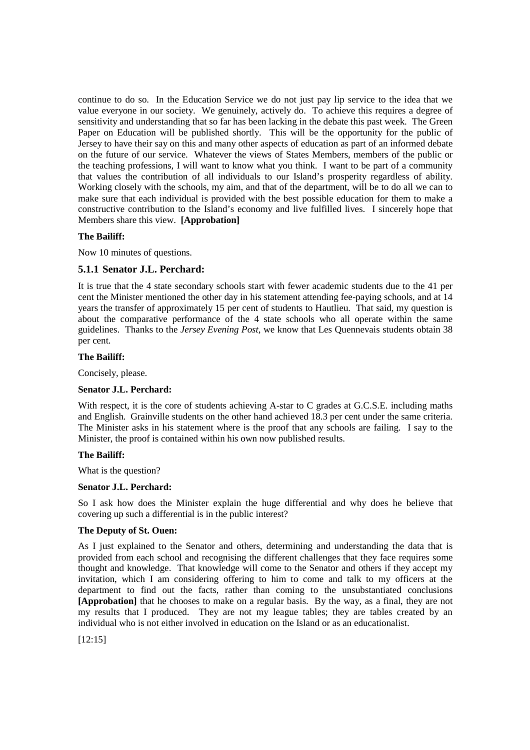continue to do so. In the Education Service we do not just pay lip service to the idea that we value everyone in our society. We genuinely, actively do. To achieve this requires a degree of sensitivity and understanding that so far has been lacking in the debate this past week. The Green Paper on Education will be published shortly. This will be the opportunity for the public of Jersey to have their say on this and many other aspects of education as part of an informed debate on the future of our service. Whatever the views of States Members, members of the public or the teaching professions, I will want to know what you think. I want to be part of a community that values the contribution of all individuals to our Island's prosperity regardless of ability. Working closely with the schools, my aim, and that of the department, will be to do all we can to make sure that each individual is provided with the best possible education for them to make a constructive contribution to the Island's economy and live fulfilled lives. I sincerely hope that Members share this view. **[Approbation]** 

# **The Bailiff:**

Now 10 minutes of questions.

# **5.1.1 Senator J.L. Perchard:**

It is true that the 4 state secondary schools start with fewer academic students due to the 41 per cent the Minister mentioned the other day in his statement attending fee-paying schools, and at 14 years the transfer of approximately 15 per cent of students to Hautlieu. That said, my question is about the comparative performance of the 4 state schools who all operate within the same guidelines. Thanks to the *Jersey Evening Post*, we know that Les Quennevais students obtain 38 per cent.

#### **The Bailiff:**

Concisely, please.

#### **Senator J.L. Perchard:**

With respect, it is the core of students achieving A-star to C grades at G.C.S.E. including maths and English. Grainville students on the other hand achieved 18.3 per cent under the same criteria. The Minister asks in his statement where is the proof that any schools are failing. I say to the Minister, the proof is contained within his own now published results.

#### **The Bailiff:**

What is the question?

#### **Senator J.L. Perchard:**

So I ask how does the Minister explain the huge differential and why does he believe that covering up such a differential is in the public interest?

### **The Deputy of St. Ouen:**

As I just explained to the Senator and others, determining and understanding the data that is provided from each school and recognising the different challenges that they face requires some thought and knowledge. That knowledge will come to the Senator and others if they accept my invitation, which I am considering offering to him to come and talk to my officers at the department to find out the facts, rather than coming to the unsubstantiated conclusions **[Approbation]** that he chooses to make on a regular basis. By the way, as a final, they are not my results that I produced. They are not my league tables; they are tables created by an individual who is not either involved in education on the Island or as an educationalist.

[12:15]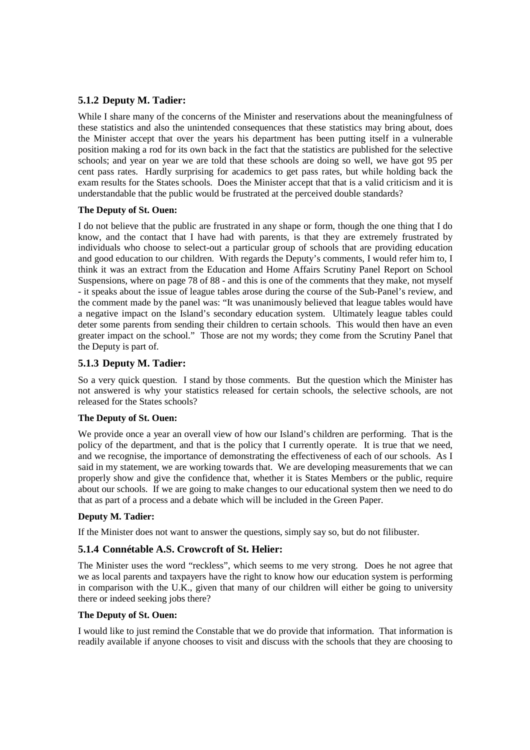# **5.1.2 Deputy M. Tadier:**

While I share many of the concerns of the Minister and reservations about the meaningfulness of these statistics and also the unintended consequences that these statistics may bring about, does the Minister accept that over the years his department has been putting itself in a vulnerable position making a rod for its own back in the fact that the statistics are published for the selective schools; and year on year we are told that these schools are doing so well, we have got 95 per cent pass rates. Hardly surprising for academics to get pass rates, but while holding back the exam results for the States schools. Does the Minister accept that that is a valid criticism and it is understandable that the public would be frustrated at the perceived double standards?

### **The Deputy of St. Ouen:**

I do not believe that the public are frustrated in any shape or form, though the one thing that I do know, and the contact that I have had with parents, is that they are extremely frustrated by individuals who choose to select-out a particular group of schools that are providing education and good education to our children. With regards the Deputy's comments, I would refer him to, I think it was an extract from the Education and Home Affairs Scrutiny Panel Report on School Suspensions, where on page 78 of 88 - and this is one of the comments that they make, not myself - it speaks about the issue of league tables arose during the course of the Sub-Panel's review, and the comment made by the panel was: "It was unanimously believed that league tables would have a negative impact on the Island's secondary education system. Ultimately league tables could deter some parents from sending their children to certain schools. This would then have an even greater impact on the school." Those are not my words; they come from the Scrutiny Panel that the Deputy is part of.

# **5.1.3 Deputy M. Tadier:**

So a very quick question. I stand by those comments. But the question which the Minister has not answered is why your statistics released for certain schools, the selective schools, are not released for the States schools?

#### **The Deputy of St. Ouen:**

We provide once a year an overall view of how our Island's children are performing. That is the policy of the department, and that is the policy that I currently operate. It is true that we need, and we recognise, the importance of demonstrating the effectiveness of each of our schools. As I said in my statement, we are working towards that. We are developing measurements that we can properly show and give the confidence that, whether it is States Members or the public, require about our schools. If we are going to make changes to our educational system then we need to do that as part of a process and a debate which will be included in the Green Paper.

# **Deputy M. Tadier:**

If the Minister does not want to answer the questions, simply say so, but do not filibuster.

# **5.1.4 Connétable A.S. Crowcroft of St. Helier:**

The Minister uses the word "reckless", which seems to me very strong. Does he not agree that we as local parents and taxpayers have the right to know how our education system is performing in comparison with the U.K., given that many of our children will either be going to university there or indeed seeking jobs there?

#### **The Deputy of St. Ouen:**

I would like to just remind the Constable that we do provide that information. That information is readily available if anyone chooses to visit and discuss with the schools that they are choosing to